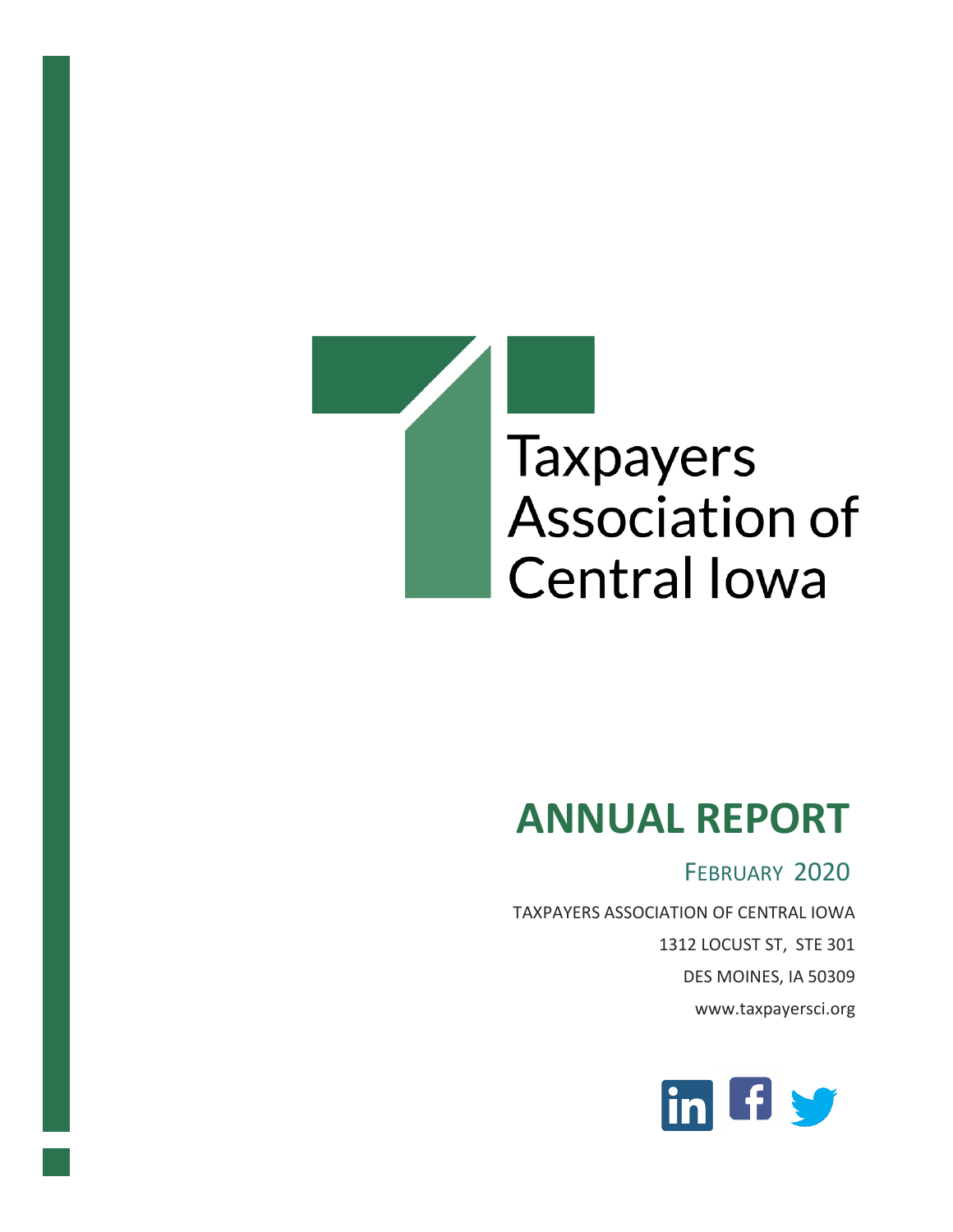

# **ANNUAL REPORT**

# FEBRUARY 2020

TAXPAYERS ASSOCIATION OF CENTRAL IOWA 1312 LOCUST ST, STE 301 DES MOINES, IA 50309 www.taxpayersci.org

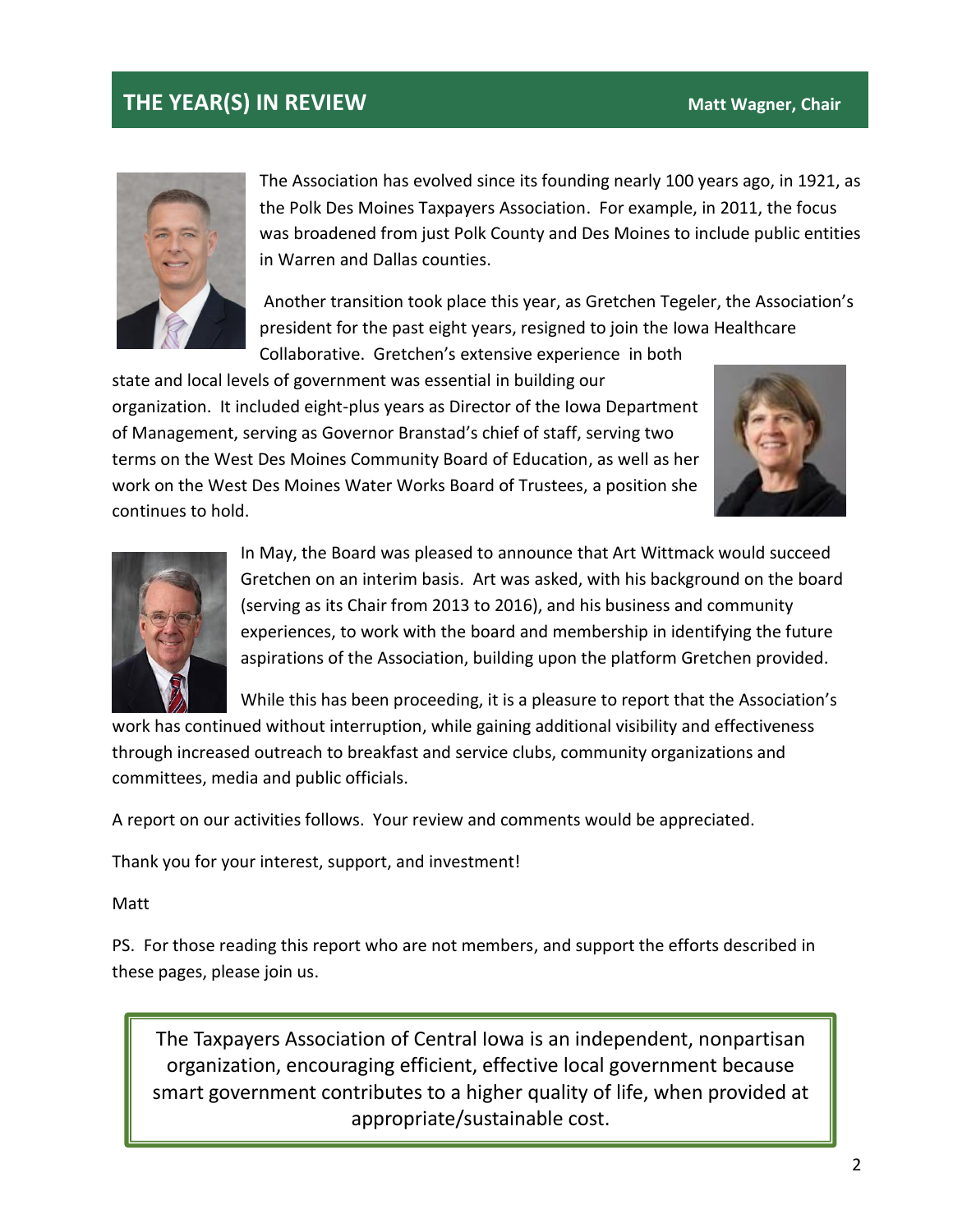#### **THE YEAR(S) IN REVIEW Matt Wagner, Chair**



The Association has evolved since its founding nearly 100 years ago, in 1921, as the Polk Des Moines Taxpayers Association. For example, in 2011, the focus was broadened from just Polk County and Des Moines to include public entities in Warren and Dallas counties.

Another transition took place this year, as Gretchen Tegeler, the Association's president for the past eight years, resigned to join the Iowa Healthcare Collaborative. Gretchen's extensive experience in both

state and local levels of government was essential in building our organization. It included eight-plus years as Director of the Iowa Department of Management, serving as Governor Branstad's chief of staff, serving two terms on the West Des Moines Community Board of Education, as well as her work on the West Des Moines Water Works Board of Trustees, a position she continues to hold.





In May, the Board was pleased to announce that Art Wittmack would succeed Gretchen on an interim basis. Art was asked, with his background on the board (serving as its Chair from 2013 to 2016), and his business and community experiences, to work with the board and membership in identifying the future aspirations of the Association, building upon the platform Gretchen provided.

While this has been proceeding, it is a pleasure to report that the Association's

work has continued without interruption, while gaining additional visibility and effectiveness through increased outreach to breakfast and service clubs, community organizations and committees, media and public officials.

A report on our activities follows. Your review and comments would be appreciated.

Thank you for your interest, support, and investment!

Matt

PS. For those reading this report who are not members, and support the efforts described in these pages, please join us.

The Taxpayers Association of Central Iowa is an independent, nonpartisan organization, encouraging efficient, effective local government because smart government contributes to a higher quality of life, when provided at appropriate/sustainable cost.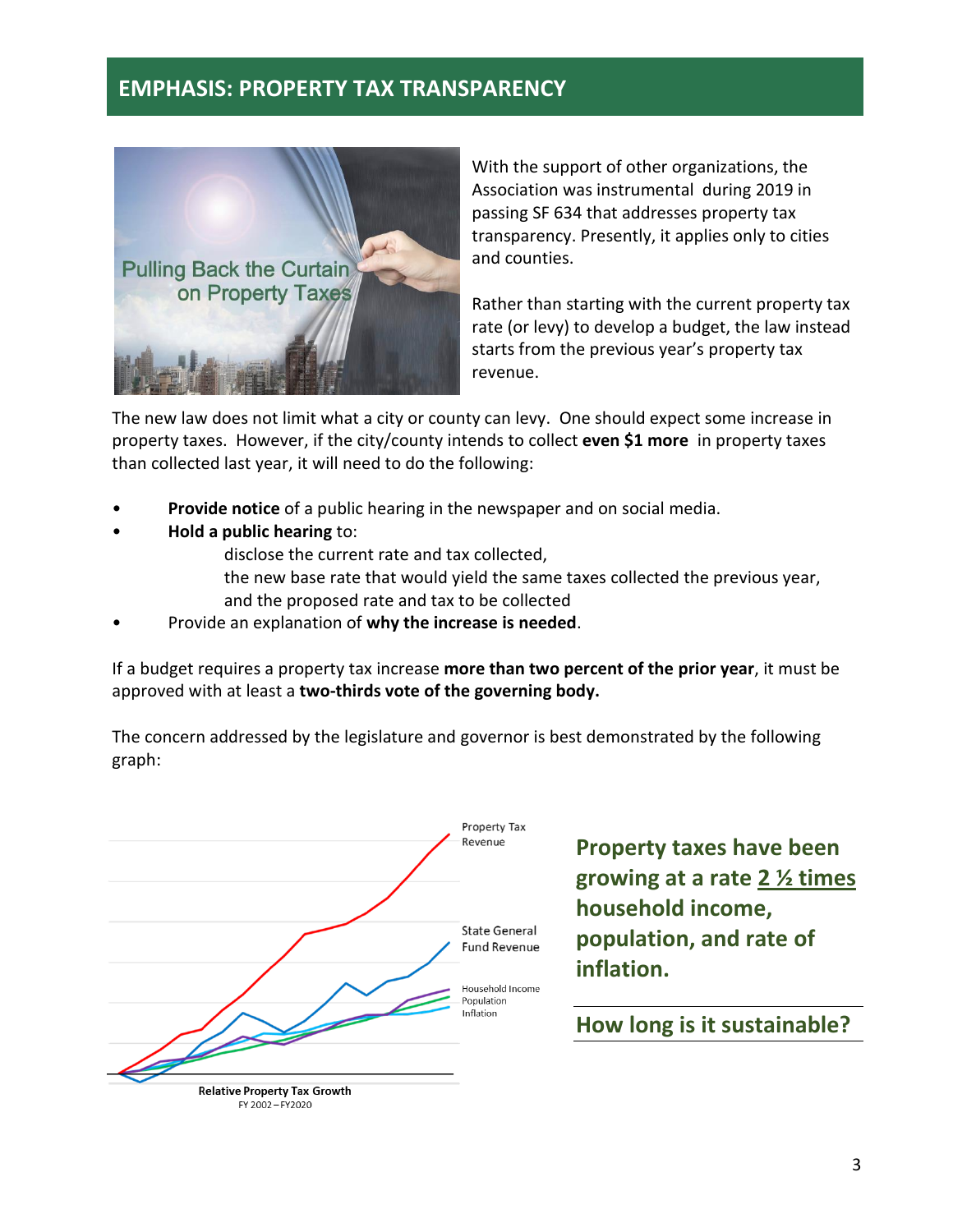#### **EMPHASIS: PROPERTY TAX TRANSPARENCY**



With the support of other organizations, the Association was instrumental during 2019 in passing SF 634 that addresses property tax transparency. Presently, it applies only to cities and counties.

Rather than starting with the current property tax rate (or levy) to develop a budget, the law instead starts from the previous year's property tax revenue.

The new law does not limit what a city or county can levy. One should expect some increase in property taxes. However, if the city/county intends to collect **even \$1 more** in property taxes than collected last year, it will need to do the following:

- **Provide notice** of a public hearing in the newspaper and on social media.
- **Hold a public hearing** to:
	- disclose the current rate and tax collected,
		- the new base rate that would yield the same taxes collected the previous year, and the proposed rate and tax to be collected
- Provide an explanation of **why the increase is needed**.

If a budget requires a property tax increase **more than two percent of the prior year**, it must be approved with at least a **two-thirds vote of the governing body.**

The concern addressed by the legislature and governor is best demonstrated by the following graph:



**Property taxes have been growing at a rate 2 ½ times household income, population, and rate of inflation.**

#### **How long is it sustainable?**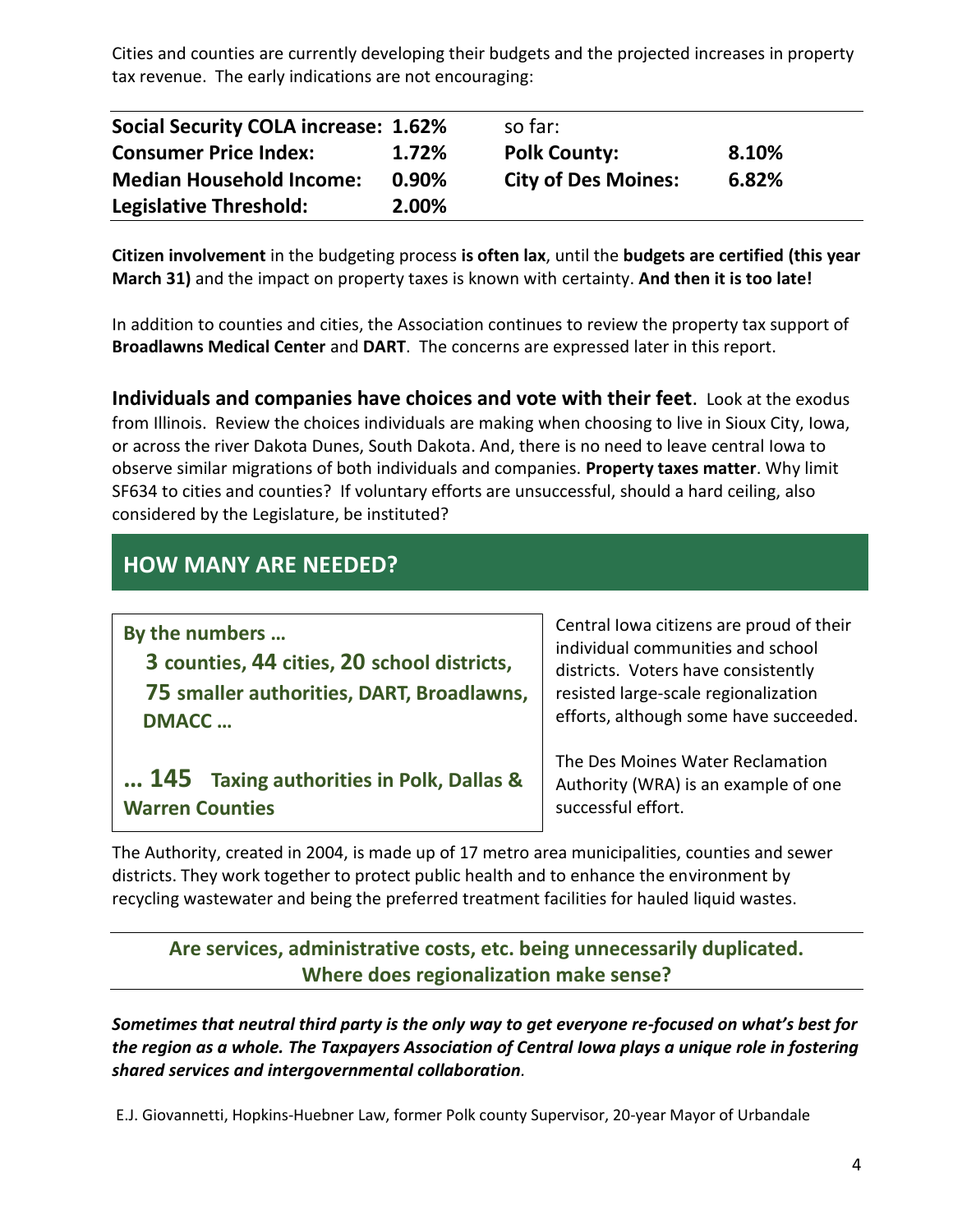Cities and counties are currently developing their budgets and the projected increases in property tax revenue. The early indications are not encouraging:

| <b>Social Security COLA increase: 1.62%</b> |       | so far:                    |       |  |
|---------------------------------------------|-------|----------------------------|-------|--|
| <b>Consumer Price Index:</b>                | 1.72% | <b>Polk County:</b>        | 8.10% |  |
| <b>Median Household Income:</b>             | 0.90% | <b>City of Des Moines:</b> | 6.82% |  |
| Legislative Threshold:                      | 2.00% |                            |       |  |

**Citizen involvement** in the budgeting process **is often lax**, until the **budgets are certified (this year March 31)** and the impact on property taxes is known with certainty. **And then it is too late!**

In addition to counties and cities, the Association continues to review the property tax support of **Broadlawns Medical Center** and **DART**. The concerns are expressed later in this report.

**Individuals and companies have choices and vote with their feet**. Look at the exodus from Illinois. Review the choices individuals are making when choosing to live in Sioux City, Iowa, or across the river Dakota Dunes, South Dakota. And, there is no need to leave central Iowa to observe similar migrations of both individuals and companies. **Property taxes matter**. Why limit SF634 to cities and counties? If voluntary efforts are unsuccessful, should a hard ceiling, also considered by the Legislature, be instituted?

## **HOW MANY ARE NEEDED?**

| By the numbers                                                     | Central Iowa citizens are proud of their<br>individual communities and school<br>districts. Voters have consistently<br>resisted large-scale regionalization<br>efforts, although some have succeeded. |  |
|--------------------------------------------------------------------|--------------------------------------------------------------------------------------------------------------------------------------------------------------------------------------------------------|--|
| 3 counties, 44 cities, 20 school districts,                        |                                                                                                                                                                                                        |  |
| 75 smaller authorities, DART, Broadlawns,<br><b>DMACC</b>          |                                                                                                                                                                                                        |  |
| 145 Taxing authorities in Polk, Dallas &<br><b>Warren Counties</b> | The Des Moines Water Reclamation<br>Authority (WRA) is an example of one<br>successful effort.                                                                                                         |  |

The Authority, created in 2004, is made up of 17 metro area municipalities, counties and sewer districts. They work together to protect public health and to enhance the environment by recycling wastewater and being the preferred treatment facilities for hauled liquid wastes.

#### **Are services, administrative costs, etc. being unnecessarily duplicated. Where does regionalization make sense?**

*Sometimes that neutral third party is the only way to get everyone re-focused on what's best for the region as a whole. The Taxpayers Association of Central Iowa plays a unique role in fostering shared services and intergovernmental collaboration.*

E.J. Giovannetti, Hopkins-Huebner Law, former Polk county Supervisor, 20-year Mayor of Urbandale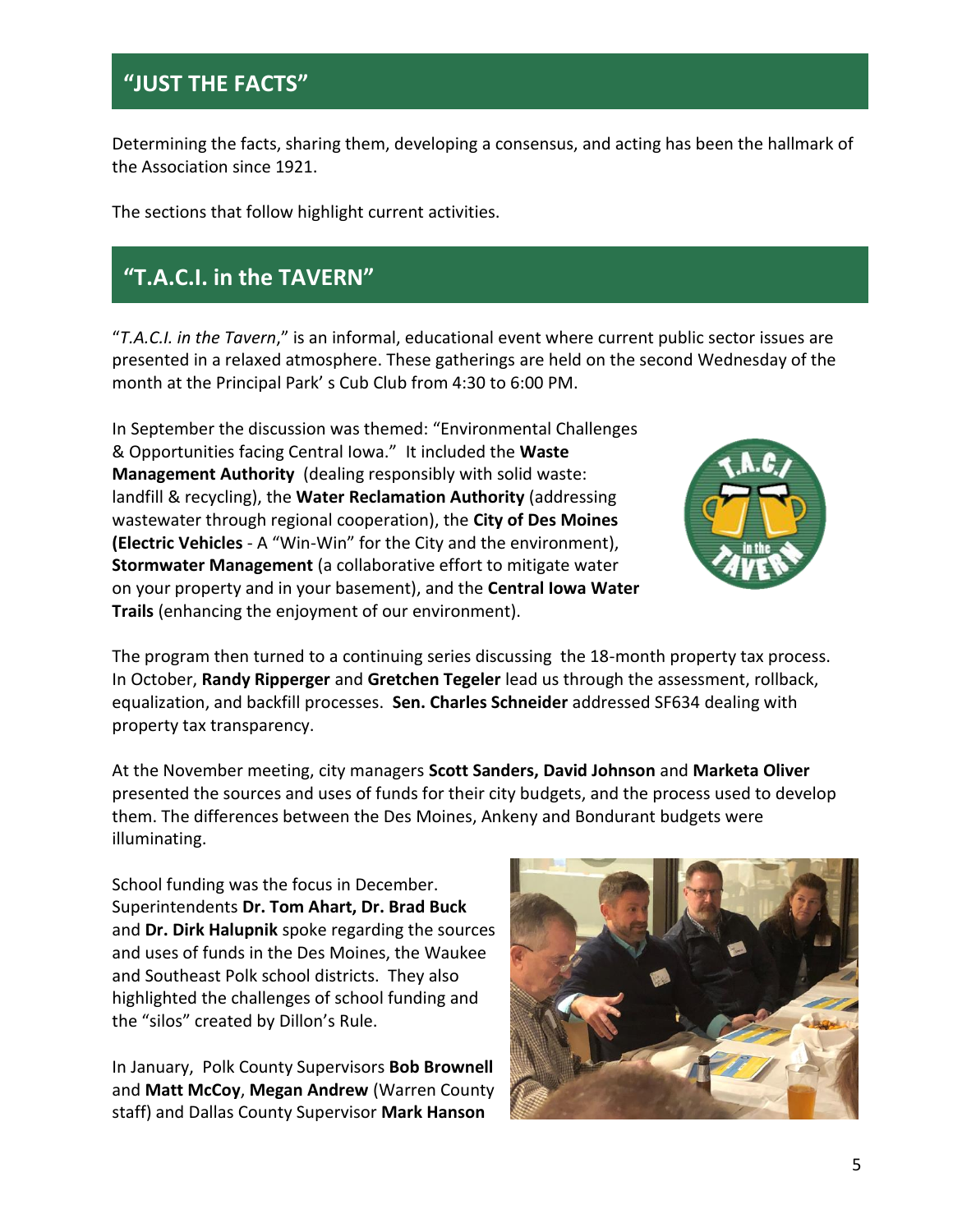# **"JUST THE FACTS"**

Determining the facts, sharing them, developing a consensus, and acting has been the hallmark of the Association since 1921.

The sections that follow highlight current activities.

# **"T.A.C.I. in the TAVERN"**

"*T.A.C.I. in the Tavern*," is an informal, educational event where current public sector issues are presented in a relaxed atmosphere. These gatherings are held on the second Wednesday of the month at the Principal Park' s Cub Club from 4:30 to 6:00 PM.

In September the discussion was themed: "Environmental Challenges & Opportunities facing Central Iowa." It included the **Waste Management Authority** (dealing responsibly with solid waste: landfill & recycling), the **Water Reclamation Authority** (addressing wastewater through regional cooperation), the **City of Des Moines (Electric Vehicles** - A "Win-Win" for the City and the environment), **Stormwater Management** (a collaborative effort to mitigate water on your property and in your basement), and the **Central Iowa Water Trails** (enhancing the enjoyment of our environment).



The program then turned to a continuing series discussing the 18-month property tax process. In October, **Randy Ripperger** and **Gretchen Tegeler** lead us through the assessment, rollback, equalization, and backfill processes. **Sen. Charles Schneider** addressed SF634 dealing with property tax transparency.

At the November meeting, city managers **Scott Sanders, David Johnson** and **Marketa Oliver** presented the sources and uses of funds for their city budgets, and the process used to develop them. The differences between the Des Moines, Ankeny and Bondurant budgets were illuminating.

School funding was the focus in December. Superintendents **Dr. Tom Ahart, Dr. Brad Buck**  and **Dr. Dirk Halupnik** spoke regarding the sources and uses of funds in the Des Moines, the Waukee and Southeast Polk school districts. They also highlighted the challenges of school funding and the "silos" created by Dillon's Rule.

In January, Polk County Supervisors **Bob Brownell** and **Matt McCoy**, **Megan Andrew** (Warren County staff) and Dallas County Supervisor **Mark Hanson**

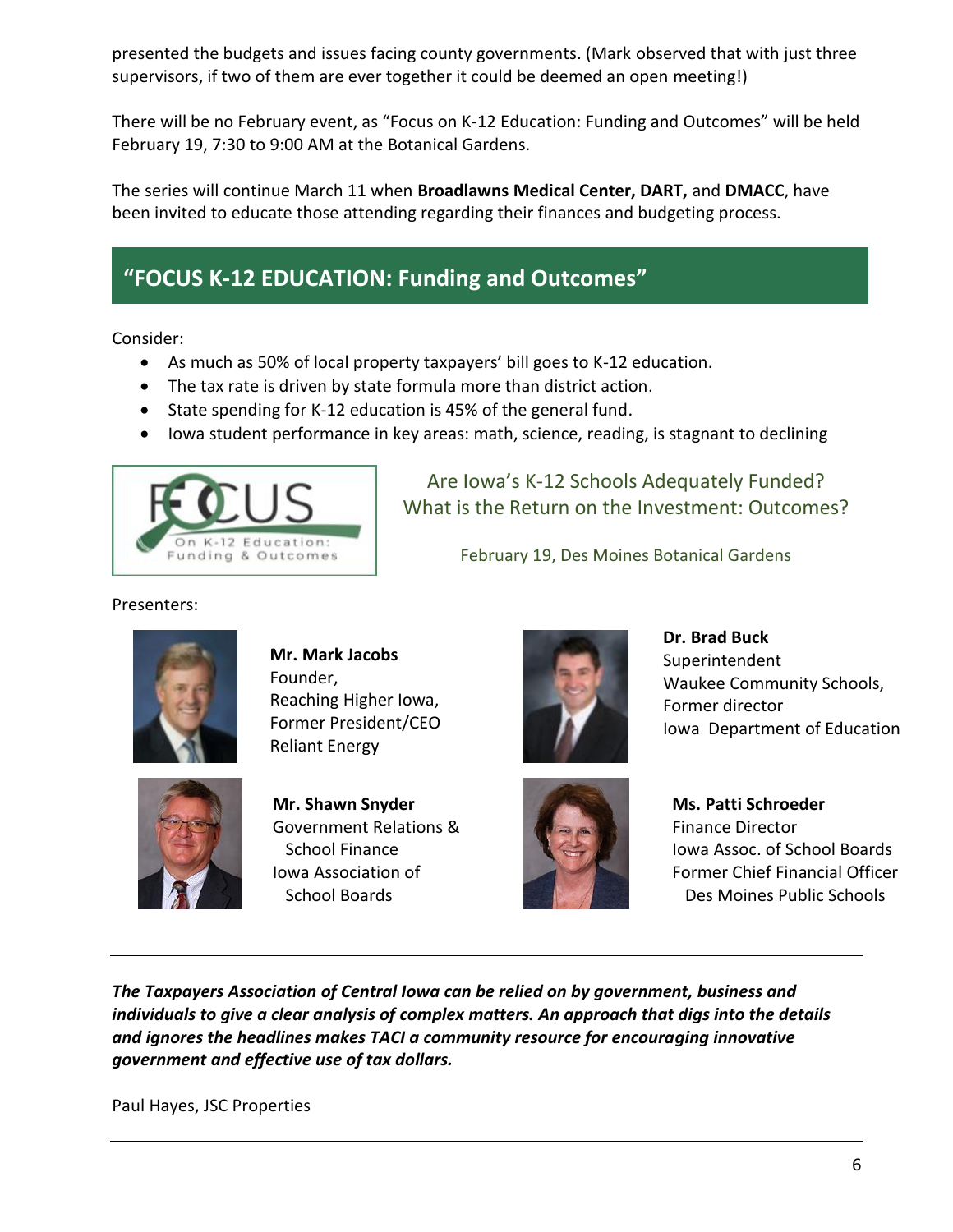presented the budgets and issues facing county governments. (Mark observed that with just three supervisors, if two of them are ever together it could be deemed an open meeting!)

There will be no February event, as "Focus on K-12 Education: Funding and Outcomes" will be held February 19, 7:30 to 9:00 AM at the Botanical Gardens.

The series will continue March 11 when **Broadlawns Medical Center, DART,** and **DMACC**, have been invited to educate those attending regarding their finances and budgeting process.

# **"FOCUS K-12 EDUCATION: Funding and Outcomes"**

Consider:

- As much as 50% of local property taxpayers' bill goes to K-12 education.
- The tax rate is driven by state formula more than district action.
- State spending for K-12 education is 45% of the general fund.
- Iowa student performance in key areas: math, science, reading, is stagnant to declining



Are Iowa's K-12 Schools Adequately Funded? What is the Return on the Investment: Outcomes?

February 19, Des Moines Botanical Gardens

Presenters:



**Mr. Mark Jacobs** Founder, Reaching Higher Iowa, Former President/CEO Reliant Energy



**Mr. Shawn Snyder** Government Relations & School Finance Iowa Association of School Boards



**Dr. Brad Buck Superintendent** Waukee Community Schools, Former director Iowa Department of Education



**Ms. Patti Schroeder** Finance Director Iowa Assoc. of School Boards Former Chief Financial Officer Des Moines Public Schools

*The Taxpayers Association of Central Iowa can be relied on by government, business and individuals to give a clear analysis of complex matters. An approach that digs into the details and ignores the headlines makes TACI a community resource for encouraging innovative government and effective use of tax dollars.*

Paul Hayes, JSC Properties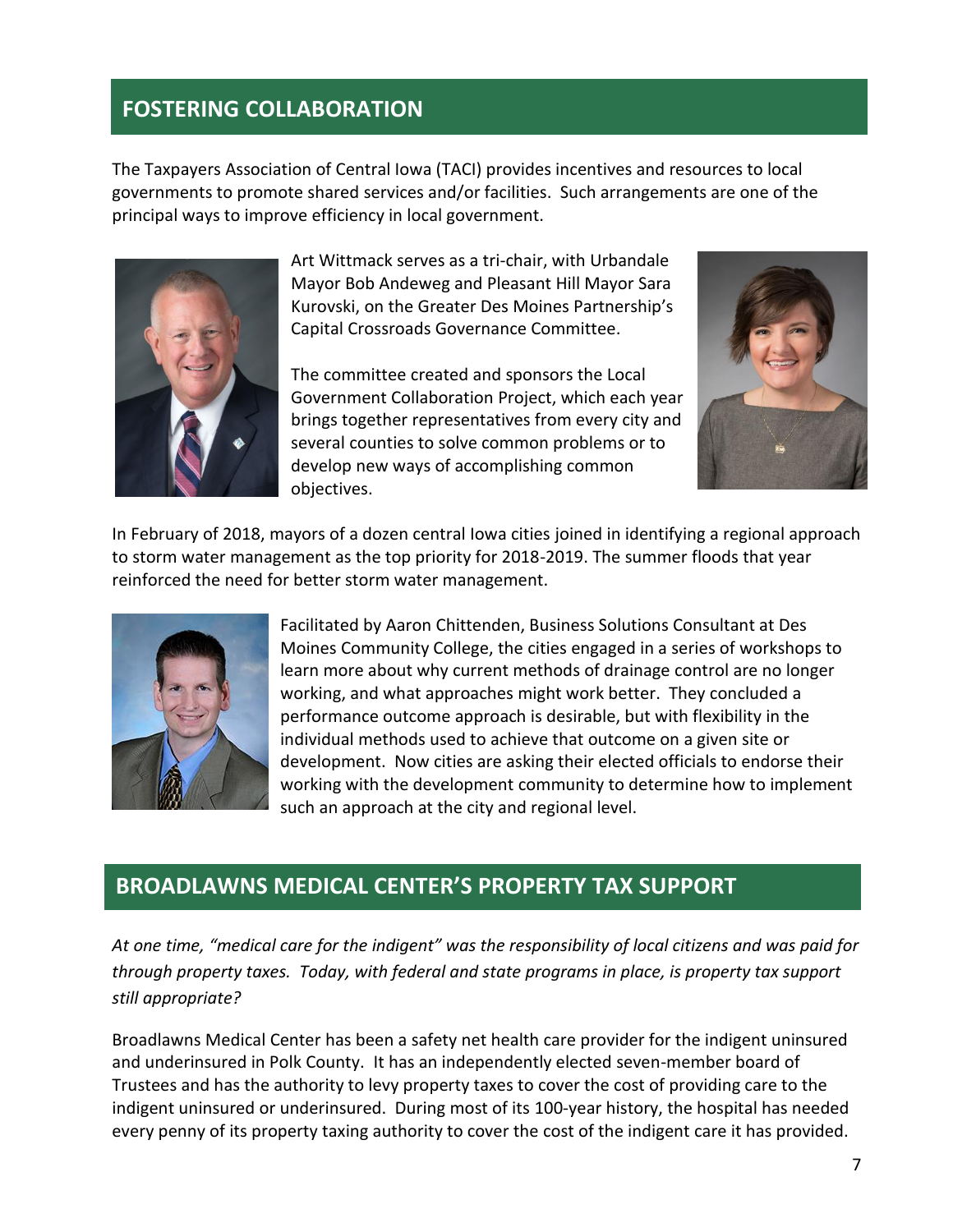#### **FOSTERING COLLABORATION**

The Taxpayers Association of Central Iowa (TACI) provides incentives and resources to local governments to promote shared services and/or facilities. Such arrangements are one of the principal ways to improve efficiency in local government.



Art Wittmack serves as a tri-chair, with Urbandale Mayor Bob Andeweg and Pleasant Hill Mayor Sara Kurovski, on the Greater Des Moines Partnership's Capital Crossroads Governance Committee.

The committee created and sponsors the Local Government Collaboration Project, which each year brings together representatives from every city and several counties to solve common problems or to develop new ways of accomplishing common objectives.



In February of 2018, mayors of a dozen central Iowa cities joined in identifying a regional approach to storm water management as the top priority for 2018-2019. The summer floods that year reinforced the need for better storm water management.



Facilitated by Aaron Chittenden, Business Solutions Consultant at Des Moines Community College, the cities engaged in a series of workshops to learn more about why current methods of drainage control are no longer working, and what approaches might work better. They concluded a performance outcome approach is desirable, but with flexibility in the individual methods used to achieve that outcome on a given site or development. Now cities are asking their elected officials to endorse their working with the development community to determine how to implement such an approach at the city and regional level.

#### **BROADLAWNS MEDICAL CENTER'S PROPERTY TAX SUPPORT**

*At one time, "medical care for the indigent" was the responsibility of local citizens and was paid for through property taxes. Today, with federal and state programs in place, is property tax support still appropriate?*

Broadlawns Medical Center has been a safety net health care provider for the indigent uninsured and underinsured in Polk County. It has an independently elected seven-member board of Trustees and has the authority to levy property taxes to cover the cost of providing care to the indigent uninsured or underinsured. During most of its 100-year history, the hospital has needed every penny of its property taxing authority to cover the cost of the indigent care it has provided.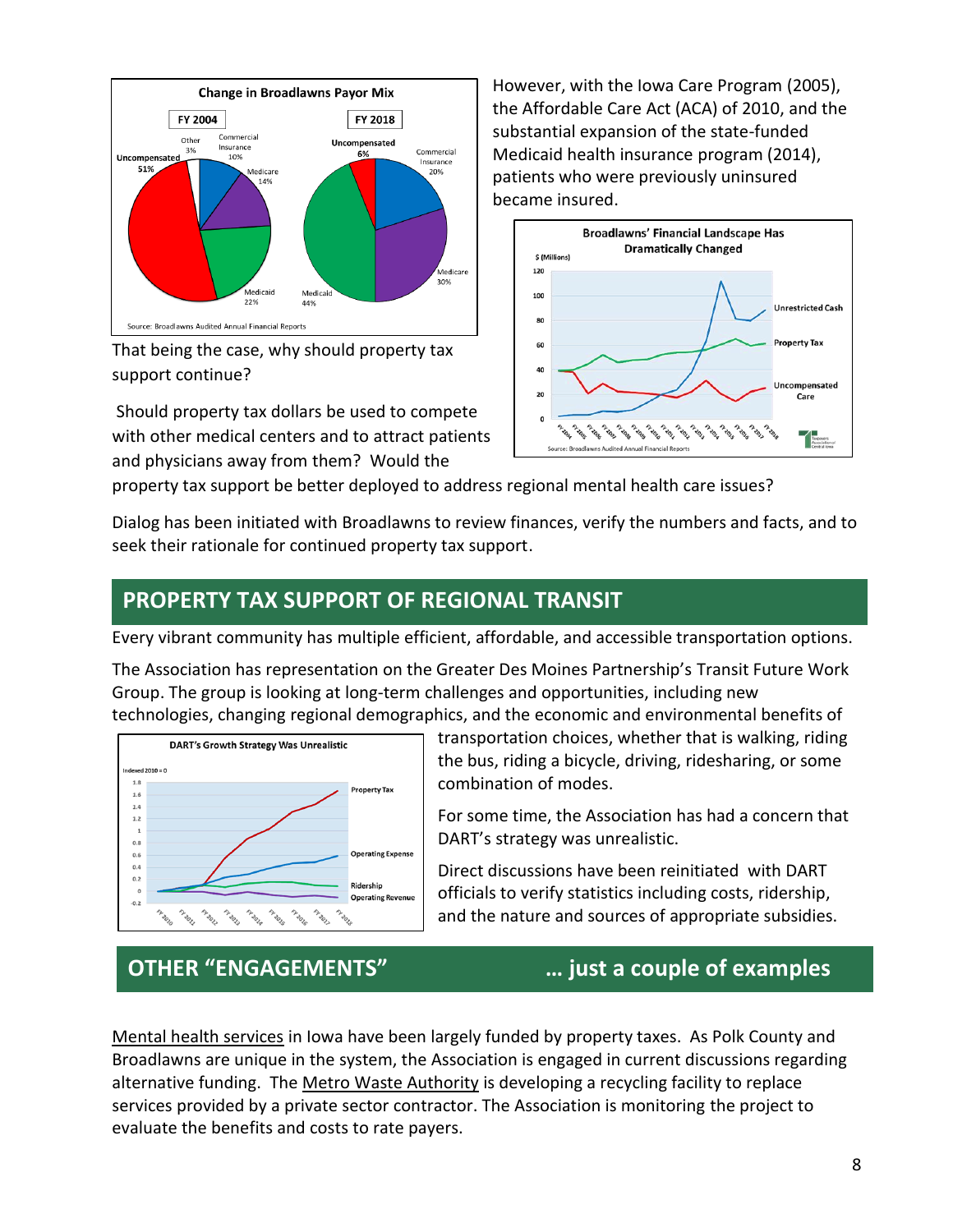

That being the case, why should property tax support continue?

Should property tax dollars be used to compete with other medical centers and to attract patients and physicians away from them? Would the

However, with the Iowa Care Program (2005), the Affordable Care Act (ACA) of 2010, and the substantial expansion of the state-funded Medicaid health insurance program (2014), patients who were previously uninsured became insured.



property tax support be better deployed to address regional mental health care issues?

Dialog has been initiated with Broadlawns to review finances, verify the numbers and facts, and to seek their rationale for continued property tax support.

#### **PROPERTY TAX SUPPORT OF REGIONAL TRANSIT**

Every vibrant community has multiple efficient, affordable, and accessible transportation options.

The Association has representation on the Greater Des Moines Partnership's Transit Future Work Group. The group is looking at long-term challenges and opportunities, including new technologies, changing regional demographics, and the economic and environmental benefits of



transportation choices, whether that is walking, riding the bus, riding a bicycle, driving, ridesharing, or some combination of modes.

For some time, the Association has had a concern that DART's strategy was unrealistic.

Direct discussions have been reinitiated with DART officials to verify statistics including costs, ridership, and the nature and sources of appropriate subsidies.

# **OTHER "ENGAGEMENTS" … just a couple of examples**

Mental health services in Iowa have been largely funded by property taxes. As Polk County and Broadlawns are unique in the system, the Association is engaged in current discussions regarding alternative funding. The Metro Waste Authority is developing a recycling facility to replace services provided by a private sector contractor. The Association is monitoring the project to evaluate the benefits and costs to rate payers.